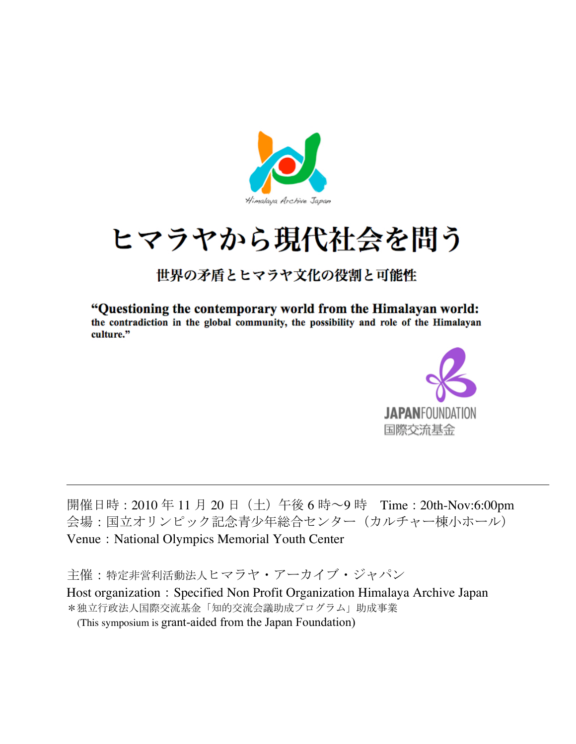

# ヒマラヤから現代社会を問う

# 世界の矛盾とヒマラヤ文化の役割と可能性

"Questioning the contemporary world from the Himalayan world: the contradiction in the global community, the possibility and role of the Himalayan culture."



開催日時: 2010年11月20日(土)午後 6 時~9時 Time: 20th-Nov:6:00pm 会場:国立オリンピック記念青少年総合センター(カルチャー棟小ホール) Venue: National Olympics Memorial Youth Center

主催:特定非営利活動法人ヒマラヤ・アーカイブ・ジャパン

Host organization: Specified Non Profit Organization Himalaya Archive Japan \*独立行政法人国際交流基金「知的交流会議助成プログラム」助成事業

(This symposium is grant-aided from the Japan Foundation)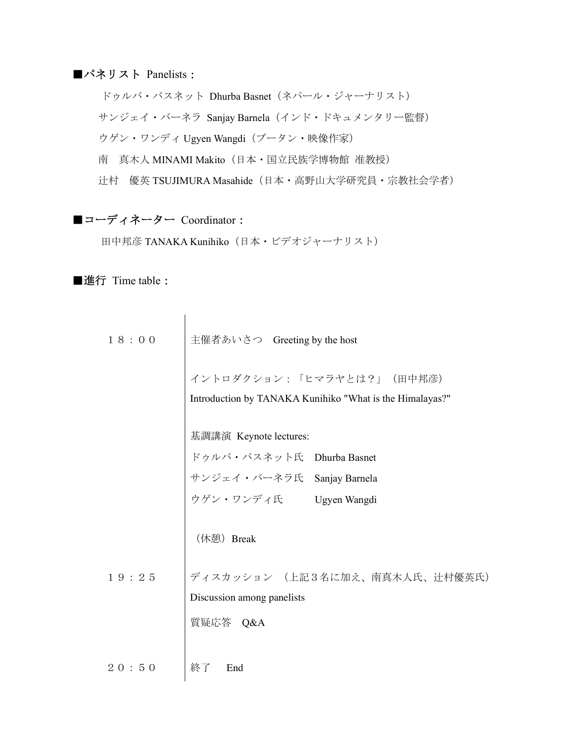### ■パネリスト Panelists:

ドゥルバ・バスネット Dhurba Basnet (ネパール・ジャーナリスト) サンジェイ・バーネラ Sanjay Barnela(インド・ドキュメンタリー監督) ウゲン・ワンディ Ugyen Wangdi (ブータン・映像作家) 南 真木人 MINAMI Makito (日本・国立民族学博物館 准教授) 辻村 優英 TSUJIMURA Masahide (日本・高野山大学研究員・宗教社会学者)

# ■コーディネーター Coordinator:

田中邦彦 TANAKA Kunihiko(日本・ビデオジャーナリスト)

■進行 Time table:

| 18:00 | 主催者あいさつ Greeting by the host                                                           |
|-------|----------------------------------------------------------------------------------------|
|       | イントロダクション:「ヒマラヤとは?」 (田中邦彦)<br>Introduction by TANAKA Kunihiko "What is the Himalayas?" |
|       | 基調講演 Keynote lectures:                                                                 |
|       |                                                                                        |
|       | ドゥルバ・バスネット氏 Dhurba Basnet<br>サンジェイ・バーネラ氏 Sanjay Barnela<br>ウゲン・ワンディ氏 Ugyen Wangdi      |
|       |                                                                                        |
|       | (休憩) Break                                                                             |
| 19:25 | ディスカッション (上記3名に加え、南真木人氏、辻村優英氏)                                                         |
|       | Discussion among panelists                                                             |
|       | 質疑応答 Q&A                                                                               |
|       |                                                                                        |
| 20:50 | 終了<br>End                                                                              |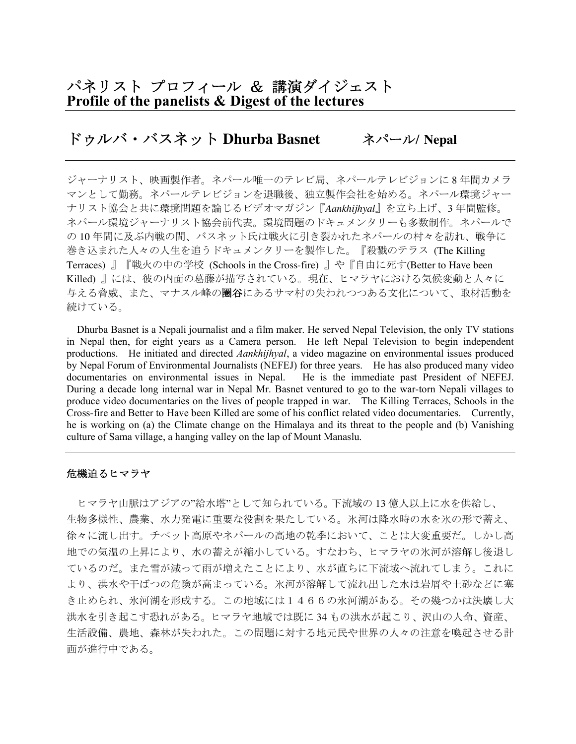### パネリスト プロフィール & 講演ダイジェスト Profile of the panelists & Digest of the lectures

# ドゥルバ・バスネット **Dhurba Basnet** ネパール**/ Nepal**

ジャーナリスト、映画製作者。ネパール唯一のテレビ局、ネパールテレビジョンに 8 年間カメラ マンとして勤務。ネパールテレビジョンを退職後、独立製作会社を始める。ネパール環境ジャー ナリスト協会と共に環境問題を論じるビデオマガジン『*Aankhijhyal*』を立ち上げ、3 年間監修。 ネパール環境ジャーナリスト協会前代表。環境問題のドキュメンタリーも多数制作。ネパールで の10年間に及ぶ内戦の間、バスネット氏は戦火に引き裂かれたネパールの村々を訪れ、戦争に 巻き込まれた人々の人生を追うドキュメンタリーを製作した。『殺戮のテラス (The Killing Terraces) 』『戦火の中の学校 (Schools in the Cross-fire) 』や『自由に死す(Better to Have been Killed) 』には、彼の内面の葛藤が描写されている。現在、ヒマラヤにおける気候変動と人々に 与える脅威、また、マナスル峰の圏谷にあるサマ村の失われつつある文化について、取材活動を 続けている。

Dhurba Basnet is a Nepali journalist and a film maker. He served Nepal Television, the only TV stations in Nepal then, for eight years as a Camera person. He left Nepal Television to begin independent productions. He initiated and directed *Aankhijhyal*, a video magazine on environmental issues produced by Nepal Forum of Environmental Journalists (NEFEJ) for three years. He has also produced many video documentaries on environmental issues in Nepal. He is the immediate past President of NEFEJ. During a decade long internal war in Nepal Mr. Basnet ventured to go to the war-torn Nepali villages to produce video documentaries on the lives of people trapped in war. The Killing Terraces, Schools in the Cross-fire and Better to Have been Killed are some of his conflict related video documentaries. Currently, he is working on (a) the Climate change on the Himalaya and its threat to the people and (b) Vanishing culture of Sama village, a hanging valley on the lap of Mount Manaslu.

#### 危機迫るヒマラヤ

ヒマラヤ山脈はアジアの"給水塔"として知られている。下流域の 13 億人以上に水を供給し、 生物多様性、農業、水力発電に重要な役割を果たしている。氷河は降水時の水を氷の形で蓄え、 徐々に流し出す。チベット高原やネパールの高地の乾季において、ことは大変重要だ。しかし高 地での気温の上昇により、水の蓄えが縮小している。すなわち、ヒマラヤの氷河が溶解し後退し ているのだ。また雪が減って雨が増えたことにより、水が直ちに下流域へ流れてしまう。これに より、洪水や干ばつの危険が高まっている。氷河が溶解して流れ出した水は岩屑や土砂などに塞 き止められ、氷河湖を形成する。この地域には1466の氷河湖がある。その幾つかは決壊し大 洪水を引き起こす恐れがある。ヒマラヤ地域では既に 34 もの洪水が起こり、沢山の人命、資産、 生活設備、農地、森林が失われた。この問題に対する地元民や世界の人々の注意を喚起させる計 画が進行中である。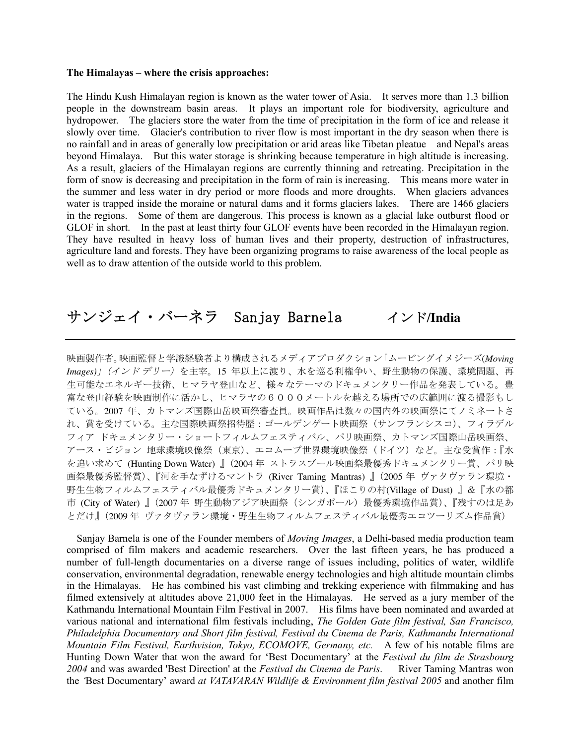#### The Himalayas – where the crisis approaches:

The Hindu Kush Himalayan region is known as the water tower of Asia. It serves more than 1.3 billion people in the downstream basin areas. It plays an important role for biodiversity, agriculture and hydropower. The glaciers store the water from the time of precipitation in the form of ice and release it slowly over time. Glacier's contribution to river flow is most important in the dry season when there is no rainfall and in areas of generally low precipitation or arid areas like Tibetan pleatue and Nepal's areas beyond Himalaya. But this water storage is shrinking because temperature in high altitude is increasing. As a result, glaciers of the Himalayan regions are currently thinning and retreating. Precipitation in the form of snow is decreasing and precipitation in the form of rain is increasing. This means more water in the summer and less water in dry period or more floods and more droughts. When glaciers advances water is trapped inside the moraine or natural dams and it forms glaciers lakes. There are 1466 glaciers in the regions. Some of them are dangerous. This process is known as a glacial lake outburst flood or GLOF in short. In the past at least thirty four GLOF events have been recorded in the Himalayan region. They have resulted in heavy loss of human lives and their property, destruction of infrastructures, agriculture land and forests. They have been organizing programs to raise awareness of the local people as well as to draw attention of the outside world to this problem.

# サンジェイ・バーネラ Sanjay Barnela インド**/India**

映画製作者。映画監督と学識経験者より構成されるメディアプロダクション「ムービングイメジーズ(*Moving Images)*」(インド デリー)を主宰。15 年以上に渡り、水を巡る利権争い、野生動物の保護、環境問題、再 生可能なエネルギー技術、ヒマラヤ登山など、様々なテーマのドキュメンタリー作品を発表している。豊 富な登山経験を映画制作に活かし、ヒマラヤの6000メートルを越える場所での広範囲に渡る撮影もし ている。2007 年、カトマンズ国際山岳映画祭審査員。映画作品は数々の国内外の映画祭にてノミネートさ れ、賞を受けている。主な国際映画祭招待歴:ゴールデンゲート映画祭(サンフランシスコ)、フィラデル フィア ドキュメンタリー・ショートフィルムフェスティバル、パリ映画祭、カトマンズ国際山岳映画祭、 アース・ビジョン 地球環境映像祭(東京)、エコムーブ世界環境映像祭(ドイツ)など。主な受賞作:『水 を追い求めて (Hunting Down Water) 』(2004 年 ストラスブール映画祭最優秀ドキュメンタリー賞、パリ映 画祭最優秀監督賞)、『河を手なずけるマントラ (River Taming Mantras) 』(2005 年 ヴァタヴァラン環境・ 野生生物フィルムフェスティバル最優秀ドキュメンタリー賞)、『ほこりの村(Village of Dust) 』&『水の都 市 (City of Water) 』 (2007年 野生動物アジア映画祭 (シンガポール) 最優秀環境作品賞)、『残すのは足あ とだけ』(2009 年 ヴァタヴァラン環境・野生生物フィルムフェスティバル最優秀エコツーリズム作品賞)

Sanjay Barnela is one of the Founder members of *Moving Images*, a Delhi-based media production team comprised of film makers and academic researchers. Over the last fifteen years, he has produced a number of full-length documentaries on a diverse range of issues including, politics of water, wildlife conservation, environmental degradation, renewable energy technologies and high altitude mountain climbs in the Himalayas. He has combined his vast climbing and trekking experience with filmmaking and has filmed extensively at altitudes above 21,000 feet in the Himalayas. He served as a jury member of the Kathmandu International Mountain Film Festival in 2007. His films have been nominated and awarded at various national and international film festivals including, *The Golden Gate film festival, San Francisco, Philadelphia Documentary and Short film festival, Festival du Cinema de Paris, Kathmandu International Mountain Film Festival, Earthvision, Tokyo, ECOMOVE, Germany, etc.* A few of his notable films are Hunting Down Water that won the award for 'Best Documentary' at the *Festival du film de Strasbourg 2004* and was awarded 'Best Direction' at the *Festival du Cinema de Paris*. River Taming Mantras won the *'*Best Documentary' award *at VATAVARAN Wildlife & Environment film festival 2005* and another film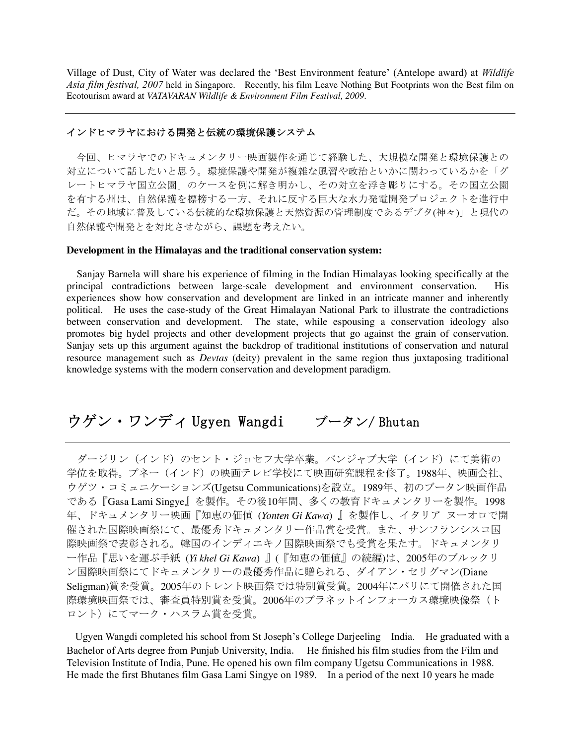Village of Dust, City of Water was declared the 'Best Environment feature' (Antelope award) at *Wildlife Asia film festival, 2007* held in Singapore. Recently, his film Leave Nothing But Footprints won the Best film on Ecotourism award at *VATAVARAN Wildlife & Environment Film Festival, 2009*.

#### インドヒマラヤにおける開発と伝統の環境保護システム

今回、ヒマラヤでのドキュメンタリー映画製作を通じて経験した、大規模な開発と環境保護との 対立について話したいと思う。環境保護や開発が複雑な風習や政治といかに関わっているかを「グ レートヒマラヤ国立公園」のケースを例に解き明かし、その対立を浮き彫りにする。その国立公園 を有する州は、自然保護を標榜する一方、それに反する巨大な水力発電開発プロジェクトを進行中 だ。その地域に普及している伝統的な環境保護と天然資源の管理制度であるデブタ(神々)」と現代の 自然保護や開発とを対比させながら、課題を考えたい。

#### **Development in the Himalayas and the traditional conservation system:**

Sanjay Barnela will share his experience of filming in the Indian Himalayas looking specifically at the principal contradictions between large-scale development and environment conservation. His experiences show how conservation and development are linked in an intricate manner and inherently political. He uses the case-study of the Great Himalayan National Park to illustrate the contradictions between conservation and development. The state, while espousing a conservation ideology also promotes big hydel projects and other development projects that go against the grain of conservation. Sanjay sets up this argument against the backdrop of traditional institutions of conservation and natural resource management such as *Devtas* (deity) prevalent in the same region thus juxtaposing traditional knowledge systems with the modern conservation and development paradigm.

ウゲン・ワンディ Ugyen Wangdi ブータン/ Bhutan

ダージリン(インド)のセント・ジョセフ大学卒業。パンジャブ大学(インド)にて美術の 学位を取得。プネー(インド)の映画テレビ学校にて映画研究課程を修了。1988年、映画会社、 ウゲツ・コミュニケーションズ(Ugetsu Communications)を設立。1989年、初のブータン映画作品 である『Gasa Lami Singye』を製作。その後10年間、多くの教育ドキュメンタリーを製作。1998 年、ドキュメンタリー映画『知恵の価値 (*Yonten Gi Kawa*) 』を製作し、イタリア ヌーオロで開 催された国際映画祭にて、最優秀ドキュメンタリー作品賞を受賞。また、サンフランシスコ国 際映画祭で表彰される。韓国のインディエキノ国際映画祭でも受賞を果たす。ドキュメンタリ ー作品『思いを運ぶ手紙 (*Yi khel Gi Kawa*) 』(『知恵の価値』の続編)は、2005年のブルックリ ン国際映画祭にてドキュメンタリーの最優秀作品に贈られる、ダイアン・セリグマン(Diane Seligman)賞を受賞。2005年のトレント映画祭では特別賞受賞。2004年にパリにて開催された国 際環境映画祭では、審査員特別賞を受賞。2006年のプラネットインフォーカス環境映像祭(ト ロント)にてマーク・ハスラム賞を受賞。

Ugyen Wangdi completed his school from St Joseph's College Darjeeling India. He graduated with a Bachelor of Arts degree from Punjab University, India. He finished his film studies from the Film and Television Institute of India, Pune. He opened his own film company Ugetsu Communications in 1988. He made the first Bhutanes film Gasa Lami Singye on 1989. In a period of the next 10 years he made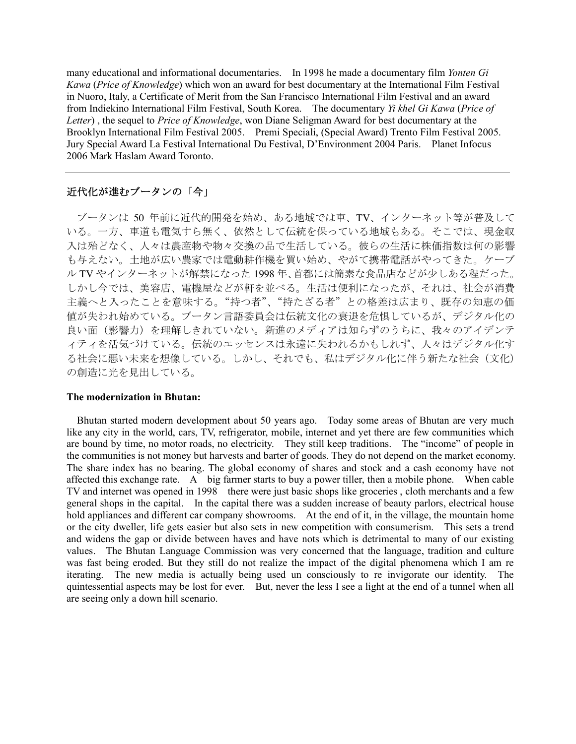many educational and informational documentaries. In 1998 he made a documentary film *Yonten Gi Kawa* (*Price of Knowledge*) which won an award for best documentary at the International Film Festival in Nuoro, Italy, a Certificate of Merit from the San Francisco International Film Festival and an award from Indiekino International Film Festival, South Korea. The documentary *Yi khel Gi Kawa* (*Price of Letter*) , the sequel to *Price of Knowledge*, won Diane Seligman Award for best documentary at the Brooklyn International Film Festival 2005. Premi Speciali, (Special Award) Trento Film Festival 2005. Jury Special Award La Festival International Du Festival, D'Environment 2004 Paris. Planet Infocus 2006 Mark Haslam Award Toronto.

#### 近代化が進むブータンの「今」

ブータンは 50 年前に近代的開発を始め、ある地域では車、TV、インターネット等が普及して いる。一方、車道も電気すら無く、依然として伝統を保っている地域もある。そこでは、現金収 入は殆どなく、人々は農産物や物々交換の品で生活している。彼らの生活に株価指数は何の影響 も与えない。土地が広い農家では電動耕作機を買い始め、やがて携帯電話がやってきた。ケーブ ル TV やインターネットが解禁になった 1998 年、首都には簡素な食品店などが少しある程だった。 しかし今では、美容店、電機屋などが軒を並べる。生活は便利になったが、それは、社会が消費 主義へと入ったことを意味する。"持つ者"、"持たざる者"との格差は広まり、既存の知恵の価 値が失われ始めている。ブータン言語委員会は伝統文化の衰退を危惧しているが、デジタル化の 良い面(影響力)を理解しきれていない。新進のメディアは知らずのうちに、我々のアイデンテ ィティを活気づけている。伝統のエッセンスは永遠に失われるかもしれず、人々はデジタル化す る社会に悪い未来を想像している。しかし、それでも、私はデジタル化に伴う新たな社会(文化) の創造に光を見出している。

#### The modernization in Bhutan:

Bhutan started modern development about 50 years ago. Today some areas of Bhutan are very much like any city in the world, cars, TV, refrigerator, mobile, internet and yet there are few communities which are bound by time, no motor roads, no electricity. They still keep traditions. The "income" of people in the communities is not money but harvests and barter of goods. They do not depend on the market economy. The share index has no bearing. The global economy of shares and stock and a cash economy have not affected this exchange rate. A big farmer starts to buy a power tiller, then a mobile phone. When cable TV and internet was opened in 1998 there were just basic shops like groceries, cloth merchants and a few general shops in the capital. In the capital there was a sudden increase of beauty parlors, electrical house hold appliances and different car company showrooms. At the end of it, in the village, the mountain home or the city dweller, life gets easier but also sets in new competition with consumerism. This sets a trend and widens the gap or divide between haves and have nots which is detrimental to many of our existing values. The Bhutan Language Commission was very concerned that the language, tradition and culture was fast being eroded. But they still do not realize the impact of the digital phenomena which I am re iterating. The new media is actually being used un consciously to re invigorate our identity. The quintessential aspects may be lost for ever. But, never the less I see a light at the end of a tunnel when all are seeing only a down hill scenario.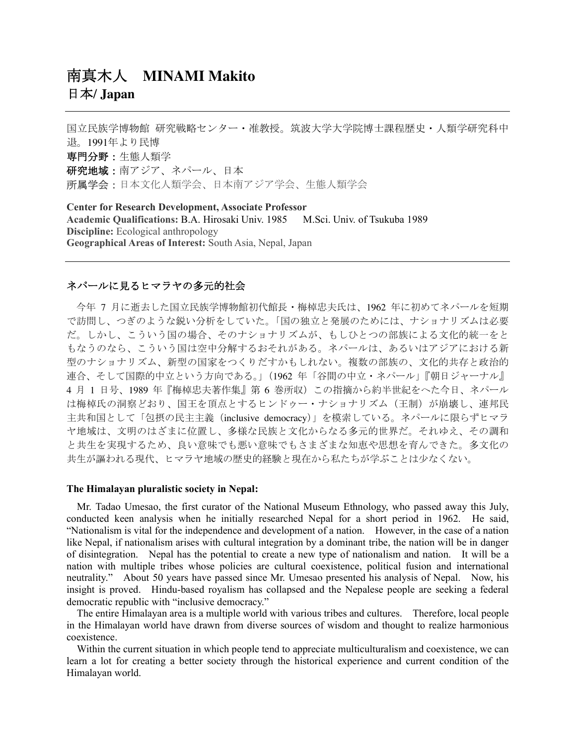# 南真木人 **MINAMI Makito** 日本**/ Japan**

国立民族学博物館 研究戦略センター・准教授。筑波大学大学院博士課程歴史・人類学研究科中 退。1991年より民博 専門分野:生態人類学 研究地域:南アジア、ネパール、日本 所属学会:日本文化人類学会、日本南アジア学会、生態人類学会

Center for Research Development, Associate Professor Academic Qualifications: B.A. Hirosaki Univ. 1985 M.Sci. Univ. of Tsukuba 1989 Discipline: Ecological anthropology Geographical Areas of Interest: South Asia, Nepal, Japan

#### ネパールに見るヒマラヤの多元的社会

今年 7 月に逝去した国立民族学博物館初代館長・梅棹忠夫氏は、1962 年に初めてネパールを短期 で訪問し、つぎのような鋭い分析をしていた。「国の独立と発展のためには、ナショナリズムは必要 だ。しかし、こういう国の場合、そのナショナリズムが、もしひとつの部族による文化的統一をと もなうのなら、こういう国は空中分解するおそれがある。ネパールは、あるいはアジアにおける新 型のナショナリズム、新型の国家をつくりだすかもしれない。複数の部族の、文化的共存と政治的 連合、そして国際的中立という方向である。」(1962 年「谷間の中立・ネパール」『朝日ジャーナル』 4 月 1 日号、1989 年『梅棹忠夫著作集』第 6 巻所収)この指摘から約半世紀をへた今日、ネパール は梅棹氏の洞察どおり、国王を頂点とするヒンドゥー・ナショナリズム(王制)が崩壊し、連邦民 主共和国として「包摂の民主主義(inclusive democracy)」を模索している。ネパールに限らずヒマラ ヤ地域は、文明のはざまに位置し、多様な民族と文化からなる多元的世界だ。それゆえ、その調和 と共生を実現するため、良い意味でも悪い意味でもさまざまな知恵や思想を育んできた。多文化の 共生が謳われる現代、ヒマラヤ地域の歴史的経験と現在から私たちが学ぶことは少なくない。

#### The Himalayan pluralistic society in Nepal:

Mr. Tadao Umesao, the first curator of the National Museum Ethnology, who passed away this July, conducted keen analysis when he initially researched Nepal for a short period in 1962. He said, "Nationalism is vital for the independence and development of a nation. However, in the case of a nation like Nepal, if nationalism arises with cultural integration by a dominant tribe, the nation will be in danger of disintegration. Nepal has the potential to create a new type of nationalism and nation. It will be a nation with multiple tribes whose policies are cultural coexistence, political fusion and international neutrality." About 50 years have passed since Mr. Umesao presented his analysis of Nepal. Now, his insight is proved. Hindu-based royalism has collapsed and the Nepalese people are seeking a federal democratic republic with "inclusive democracy."

The entire Himalayan area is a multiple world with various tribes and cultures. Therefore, local people in the Himalayan world have drawn from diverse sources of wisdom and thought to realize harmonious coexistence.

Within the current situation in which people tend to appreciate multiculturalism and coexistence, we can learn a lot for creating a better society through the historical experience and current condition of the Himalayan world.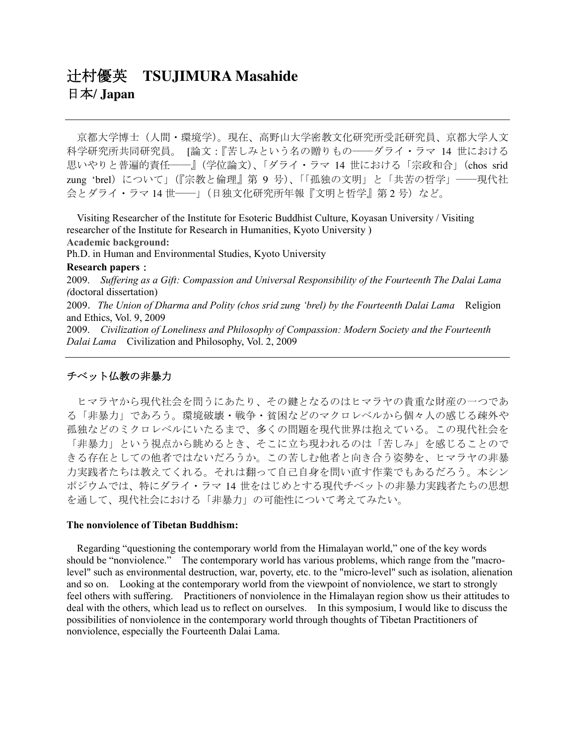# 辻村優英 **TSUJIMURA Masahide** 日本**/ Japan**

京都大学博士(人間・環境学)。現在、高野山大学密教文化研究所受託研究員、京都大学人文 科学研究所共同研究員。「論文:『苦しみという名の贈りもの–––ダライ・ラマ 14 世における 思いやりと普遍的責任̶̶』(学位論文)、「ダライ・ラマ 14 世における「宗政和合」(chos srid zung 'brel) について」(『宗教と倫理』第9号)、「「孤独の文明」と「共苦の哲学」––現代社 会とダライ・ラマ 14世–––」(日独文化研究所年報『文明と哲学』第2号)など。

Visiting Researcher of the Institute for Esoteric Buddhist Culture, Koyasan University / Visiting researcher of the Institute for Research in Humanities, Kyoto University ) Academic background:

Ph.D. in Human and Environmental Studies, Kyoto University

#### Research papers:

2009. *Suffering as a Gift: Compassion and Universal Responsibility of the Fourteenth The Dalai Lama (*doctoral dissertation)

2009.*The Union of Dharma and Polity (chos srid zung 'brel) by the Fourteenth Dalai Lama* Religion and Ethics, Vol. 9, 2009

2009. *Civilization of Loneliness and Philosophy of Compassion: Modern Society and the Fourteenth Dalai Lama* Civilization and Philosophy, Vol. 2, 2009

#### チベット仏教の非暴力

ヒマラヤから現代社会を問うにあたり、その鍵となるのはヒマラヤの貴重な財産の一つであ る「非暴力」であろう。環境破壊・戦争・貧困などのマクロレベルから個々人の感じる疎外や 孤独などのミクロレベルにいたるまで、多くの問題を現代世界は抱えている。この現代社会を 「非暴力」という視点から眺めるとき、そこに立ち現われるのは「苦しみ」を感じることので きる存在としての他者ではないだろうか。この苦しむ他者と向き合う姿勢を、ヒマラヤの非暴 力実践者たちは教えてくれる。それは翻って自己自身を問い直す作業でもあるだろう。本シン ポジウムでは、特にダライ・ラマ 14 世をはじめとする現代チベットの非暴力実践者たちの思想 を通して、現代社会における「非暴力」の可能性について考えてみたい。

#### The nonviolence of Tibetan Buddhism:

Regarding "questioning the contemporary world from the Himalayan world," one of the key words should be "nonviolence." The contemporary world has various problems, which range from the "macrolevel" such as environmental destruction, war, poverty, etc. to the "micro-level" such as isolation, alienation and so on. Looking at the contemporary world from the viewpoint of nonviolence, we start to strongly feel others with suffering. Practitioners of nonviolence in the Himalayan region show us their attitudes to deal with the others, which lead us to reflect on ourselves. In this symposium, I would like to discuss the possibilities of nonviolence in the contemporary world through thoughts of Tibetan Practitioners of nonviolence, especially the Fourteenth Dalai Lama.